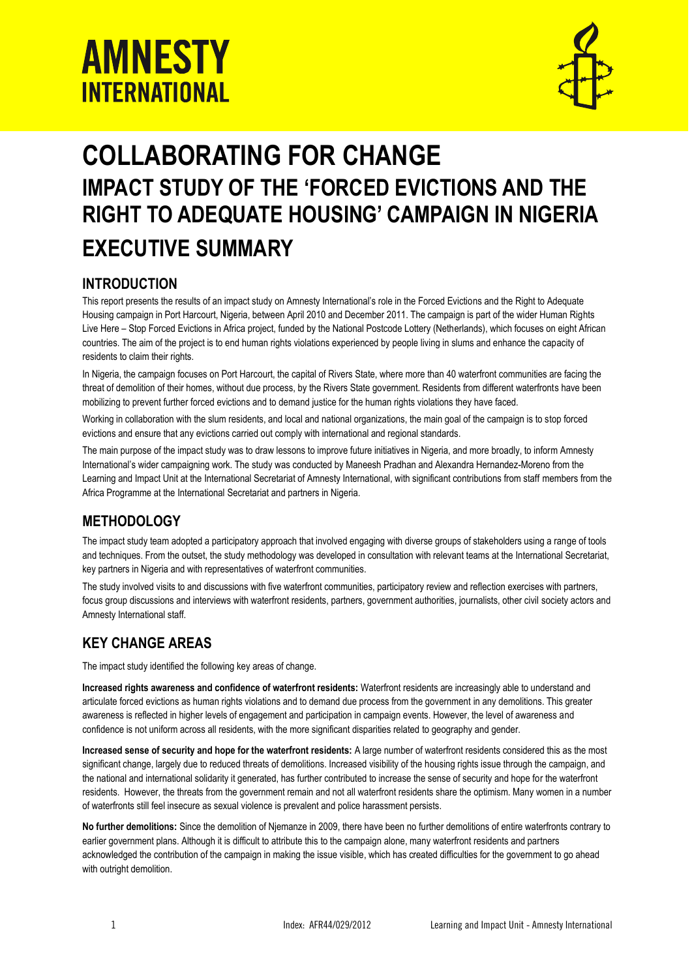



# **COLLABORATING FOR CHANGE IMPACT STUDY OF THE 'FORCED EVICTIONS AND THE RIGHT TO ADEQUATE HOUSING' CAMPAIGN IN NIGERIA EXECUTIVE SUMMARY**

# **INTRODUCTION**

This report presents the results of an impact study on Amnesty International's role in the Forced Evictions and the Right to Adequate Housing campaign in Port Harcourt, Nigeria, between April 2010 and December 2011. The campaign is part of the wider Human Rights Live Here – Stop Forced Evictions in Africa project, funded by the National Postcode Lottery (Netherlands), which focuses on eight African countries. The aim of the project is to end human rights violations experienced by people living in slums and enhance the capacity of residents to claim their rights.

In Nigeria, the campaign focuses on Port Harcourt, the capital of Rivers State, where more than 40 waterfront communities are facing the threat of demolition of their homes, without due process, by the Rivers State government. Residents from different waterfronts have been mobilizing to prevent further forced evictions and to demand justice for the human rights violations they have faced.

Working in collaboration with the slum residents, and local and national organizations, the main goal of the campaign is to stop forced evictions and ensure that any evictions carried out comply with international and regional standards.

The main purpose of the impact study was to draw lessons to improve future initiatives in Nigeria, and more broadly, to inform Amnesty International's wider campaigning work. The study was conducted by Maneesh Pradhan and Alexandra Hernandez-Moreno from the Learning and Impact Unit at the International Secretariat of Amnesty International, with significant contributions from staff members from the Africa Programme at the International Secretariat and partners in Nigeria.

## **METHODOLOGY**

The impact study team adopted a participatory approach that involved engaging with diverse groups of stakeholders using a range of tools and techniques. From the outset, the study methodology was developed in consultation with relevant teams at the International Secretariat, key partners in Nigeria and with representatives of waterfront communities.

The study involved visits to and discussions with five waterfront communities, participatory review and reflection exercises with partners, focus group discussions and interviews with waterfront residents, partners, government authorities, journalists, other civil society actors and Amnesty International staff.

# **KEY CHANGE AREAS**

The impact study identified the following key areas of change.

**Increased rights awareness and confidence of waterfront residents:** Waterfront residents are increasingly able to understand and articulate forced evictions as human rights violations and to demand due process from the government in any demolitions. This greater awareness is reflected in higher levels of engagement and participation in campaign events. However, the level of awareness and confidence is not uniform across all residents, with the more significant disparities related to geography and gender.

**Increased sense of security and hope for the waterfront residents:** A large number of waterfront residents considered this as the most significant change, largely due to reduced threats of demolitions. Increased visibility of the housing rights issue through the campaign, and the national and international solidarity it generated, has further contributed to increase the sense of security and hope for the waterfront residents. However, the threats from the government remain and not all waterfront residents share the optimism. Many women in a number of waterfronts still feel insecure as sexual violence is prevalent and police harassment persists.

**No further demolitions:** Since the demolition of Njemanze in 2009, there have been no further demolitions of entire waterfronts contrary to earlier government plans. Although it is difficult to attribute this to the campaign alone, many waterfront residents and partners acknowledged the contribution of the campaign in making the issue visible, which has created difficulties for the government to go ahead with outright demolition.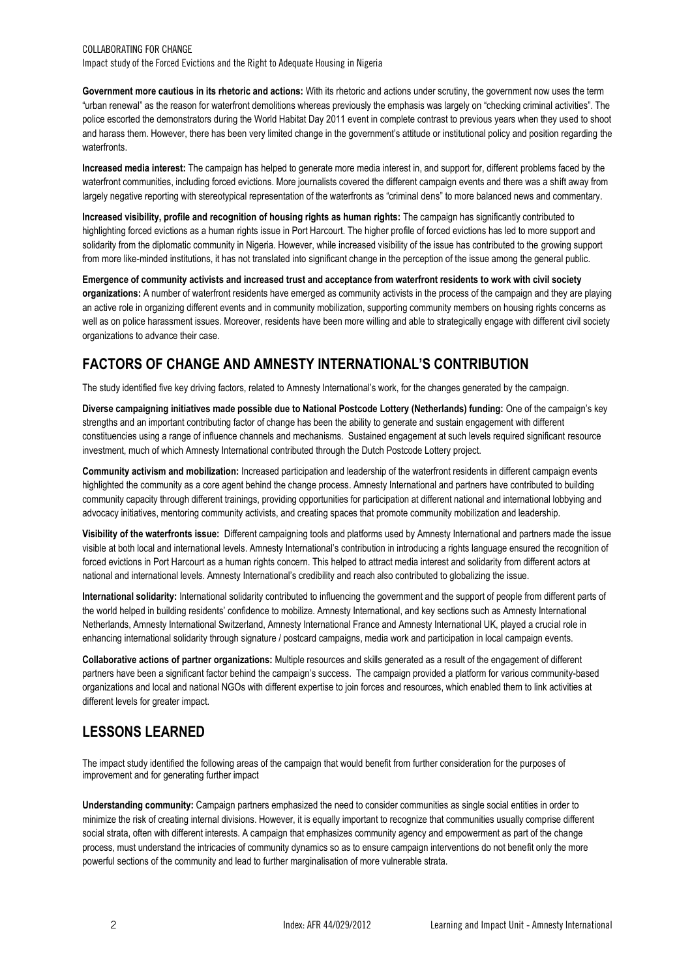**Government more cautious in its rhetoric and actions:** With its rhetoric and actions under scrutiny, the government now uses the term "urban renewal" as the reason for waterfront demolitions whereas previously the emphasis was largely on "checking criminal activities". The police escorted the demonstrators during the World Habitat Day 2011 event in complete contrast to previous years when they used to shoot and harass them. However, there has been very limited change in the government's attitude or institutional policy and position regarding the waterfronts.

**Increased media interest:** The campaign has helped to generate more media interest in, and support for, different problems faced by the waterfront communities, including forced evictions. More journalists covered the different campaign events and there was a shift away from largely negative reporting with stereotypical representation of the waterfronts as "criminal dens" to more balanced news and commentary.

**Increased visibility, profile and recognition of housing rights as human rights:** The campaign has significantly contributed to highlighting forced evictions as a human rights issue in Port Harcourt. The higher profile of forced evictions has led to more support and solidarity from the diplomatic community in Nigeria. However, while increased visibility of the issue has contributed to the growing support from more like-minded institutions, it has not translated into significant change in the perception of the issue among the general public.

**Emergence of community activists and increased trust and acceptance from waterfront residents to work with civil society organizations:** A number of waterfront residents have emerged as community activists in the process of the campaign and they are playing an active role in organizing different events and in community mobilization, supporting community members on housing rights concerns as well as on police harassment issues. Moreover, residents have been more willing and able to strategically engage with different civil society organizations to advance their case.

# **FACTORS OF CHANGE AND AMNESTY INTERNATIONAL'S CONTRIBUTION**

The study identified five key driving factors, related to Amnesty International's work, for the changes generated by the campaign.

**Diverse campaigning initiatives made possible due to National Postcode Lottery (Netherlands) funding:** One of the campaign's key strengths and an important contributing factor of change has been the ability to generate and sustain engagement with different constituencies using a range of influence channels and mechanisms. Sustained engagement at such levels required significant resource investment, much of which Amnesty International contributed through the Dutch Postcode Lottery project.

**Community activism and mobilization:** Increased participation and leadership of the waterfront residents in different campaign events highlighted the community as a core agent behind the change process. Amnesty International and partners have contributed to building community capacity through different trainings, providing opportunities for participation at different national and international lobbying and advocacy initiatives, mentoring community activists, and creating spaces that promote community mobilization and leadership.

**Visibility of the waterfronts issue:** Different campaigning tools and platforms used by Amnesty International and partners made the issue visible at both local and international levels. Amnesty International's contribution in introducing a rights language ensured the recognition of forced evictions in Port Harcourt as a human rights concern. This helped to attract media interest and solidarity from different actors at national and international levels. Amnesty International's credibility and reach also contributed to globalizing the issue.

**International solidarity:** International solidarity contributed to influencing the government and the support of people from different parts of the world helped in building residents' confidence to mobilize. Amnesty International, and key sections such as Amnesty International Netherlands, Amnesty International Switzerland, Amnesty International France and Amnesty International UK, played a crucial role in enhancing international solidarity through signature / postcard campaigns, media work and participation in local campaign events.

**Collaborative actions of partner organizations:** Multiple resources and skills generated as a result of the engagement of different partners have been a significant factor behind the campaign's success. The campaign provided a platform for various community-based organizations and local and national NGOs with different expertise to join forces and resources, which enabled them to link activities at different levels for greater impact.

# **LESSONS LEARNED**

The impact study identified the following areas of the campaign that would benefit from further consideration for the purposes of improvement and for generating further impact

**Understanding community:** Campaign partners emphasized the need to consider communities as single social entities in order to minimize the risk of creating internal divisions. However, it is equally important to recognize that communities usually comprise different social strata, often with different interests. A campaign that emphasizes community agency and empowerment as part of the change process, must understand the intricacies of community dynamics so as to ensure campaign interventions do not benefit only the more powerful sections of the community and lead to further marginalisation of more vulnerable strata.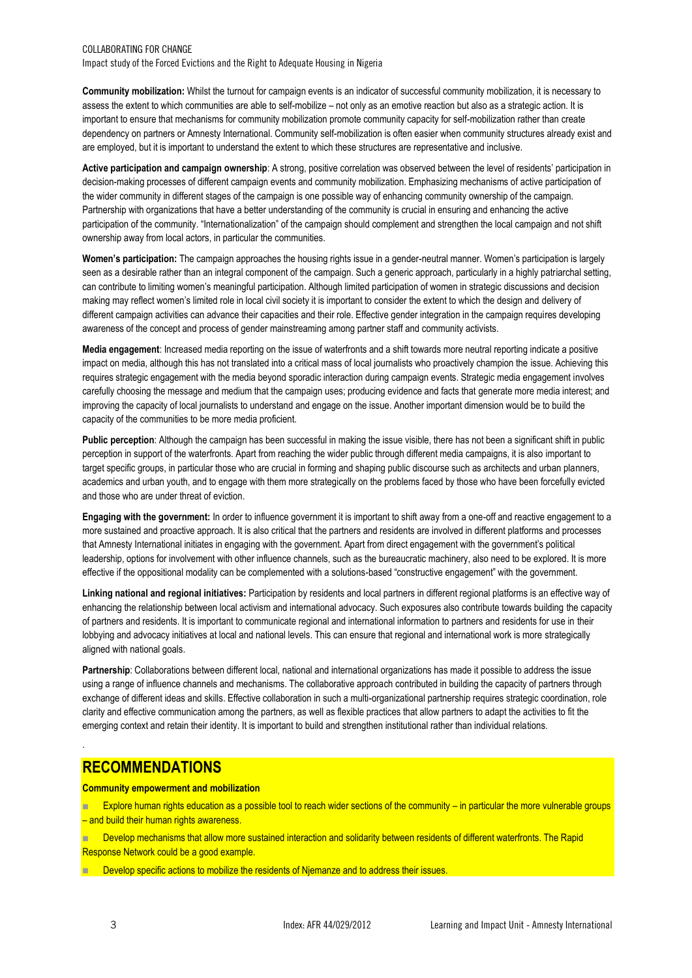## COLLABORATING FOR CHANGE Impact study of the Forced Evictions and the Right to Adequate Housing in Nigeria

**Community mobilization:** Whilst the turnout for campaign events is an indicator of successful community mobilization, it is necessary to assess the extent to which communities are able to self-mobilize – not only as an emotive reaction but also as a strategic action. It is important to ensure that mechanisms for community mobilization promote community capacity for self-mobilization rather than create dependency on partners or Amnesty International. Community self-mobilization is often easier when community structures already exist and are employed, but it is important to understand the extent to which these structures are representative and inclusive.

**Active participation and campaign ownership**: A strong, positive correlation was observed between the level of residents' participation in decision-making processes of different campaign events and community mobilization. Emphasizing mechanisms of active participation of the wider community in different stages of the campaign is one possible way of enhancing community ownership of the campaign. Partnership with organizations that have a better understanding of the community is crucial in ensuring and enhancing the active participation of the community. "Internationalization" of the campaign should complement and strengthen the local campaign and not shift ownership away from local actors, in particular the communities.

**Women's participation:** The campaign approaches the housing rights issue in a gender-neutral manner. Women's participation is largely seen as a desirable rather than an integral component of the campaign. Such a generic approach, particularly in a highly patriarchal setting, can contribute to limiting women's meaningful participation. Although limited participation of women in strategic discussions and decision making may reflect women's limited role in local civil society it is important to consider the extent to which the design and delivery of different campaign activities can advance their capacities and their role. Effective gender integration in the campaign requires developing awareness of the concept and process of gender mainstreaming among partner staff and community activists.

**Media engagement**: Increased media reporting on the issue of waterfronts and a shift towards more neutral reporting indicate a positive impact on media, although this has not translated into a critical mass of local journalists who proactively champion the issue. Achieving this requires strategic engagement with the media beyond sporadic interaction during campaign events. Strategic media engagement involves carefully choosing the message and medium that the campaign uses; producing evidence and facts that generate more media interest; and improving the capacity of local journalists to understand and engage on the issue. Another important dimension would be to build the capacity of the communities to be more media proficient.

**Public perception**: Although the campaign has been successful in making the issue visible, there has not been a significant shift in public perception in support of the waterfronts. Apart from reaching the wider public through different media campaigns, it is also important to target specific groups, in particular those who are crucial in forming and shaping public discourse such as architects and urban planners, academics and urban youth, and to engage with them more strategically on the problems faced by those who have been forcefully evicted and those who are under threat of eviction.

**Engaging with the government:** In order to influence government it is important to shift away from a one-off and reactive engagement to a more sustained and proactive approach. It is also critical that the partners and residents are involved in different platforms and processes that Amnesty International initiates in engaging with the government. Apart from direct engagement with the government's political leadership, options for involvement with other influence channels, such as the bureaucratic machinery, also need to be explored. It is more effective if the oppositional modality can be complemented with a solutions-based "constructive engagement" with the government.

**Linking national and regional initiatives:** Participation by residents and local partners in different regional platforms is an effective way of enhancing the relationship between local activism and international advocacy. Such exposures also contribute towards building the capacity of partners and residents. It is important to communicate regional and international information to partners and residents for use in their lobbying and advocacy initiatives at local and national levels. This can ensure that regional and international work is more strategically aligned with national goals.

**Partnership**: Collaborations between different local, national and international organizations has made it possible to address the issue using a range of influence channels and mechanisms. The collaborative approach contributed in building the capacity of partners through exchange of different ideas and skills. Effective collaboration in such a multi-organizational partnership requires strategic coordination, role clarity and effective communication among the partners, as well as flexible practices that allow partners to adapt the activities to fit the emerging context and retain their identity. It is important to build and strengthen institutional rather than individual relations.

# **RECOMMENDATIONS**

**Community empowerment and mobilization** 

**EXplore human rights education as a possible tool to reach wider sections of the community – in particular the more vulnerable groups** – and build their human rights awareness.

 Develop mechanisms that allow more sustained interaction and solidarity between residents of different waterfronts. The Rapid Response Network could be a good example.

Develop specific actions to mobilize the residents of Njemanze and to address their issues.

.